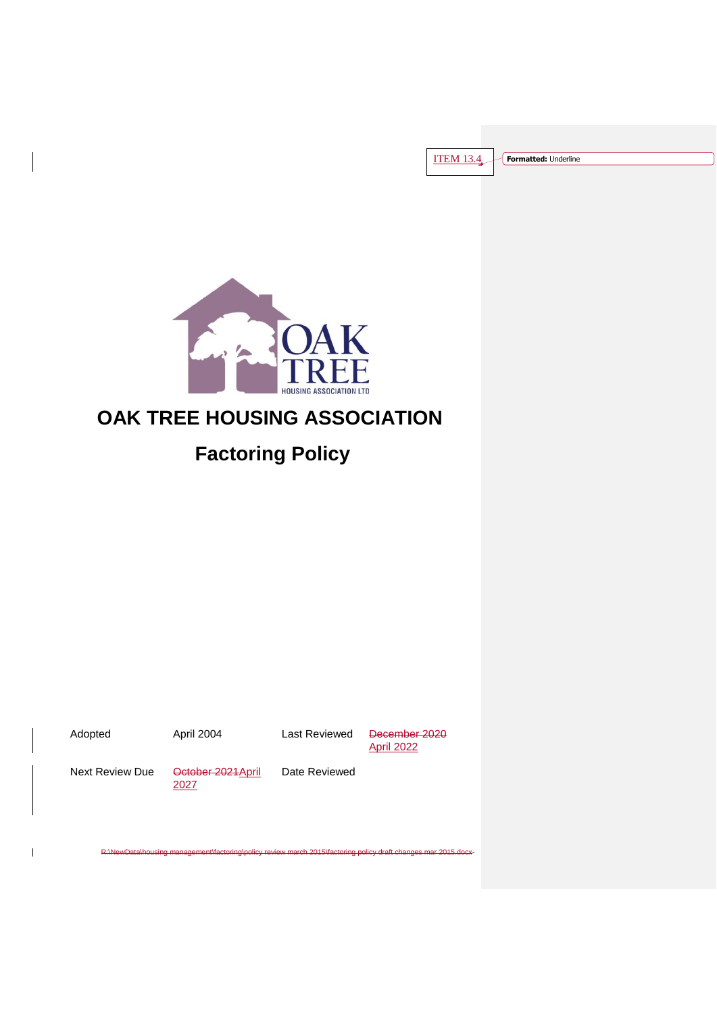

# **OAK TREE HOUSING ASSOCIATION**

# **Factoring Policy**

 $\overline{1}$ 

Adopted **April 2004** Last Reviewed December 2020 April 2022

Next Review Due October 2021 April

2027

Date Reviewed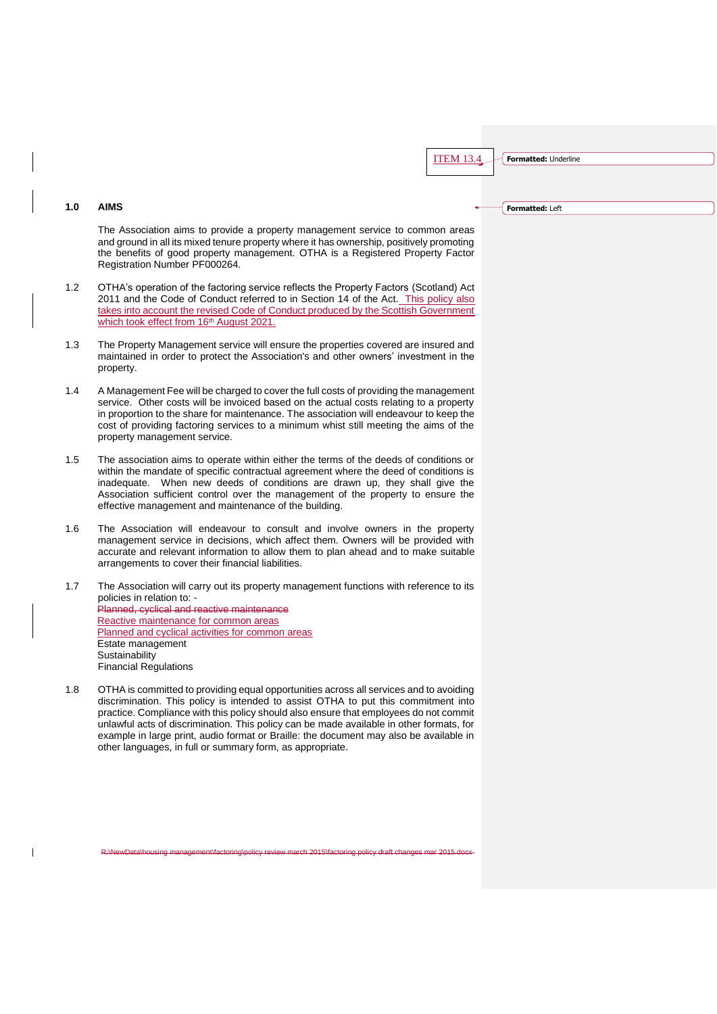**Formatted:** Left

# **1.0 AIMS**

The Association aims to provide a property management service to common areas and ground in all its mixed tenure property where it has ownership, positively promoting the benefits of good property management. OTHA is a Registered Property Factor Registration Number PF000264.

- 1.2 OTHA's operation of the factoring service reflects the Property Factors (Scotland) Act 2011 and the Code of Conduct referred to in Section 14 of the Act. This policy also takes into account the revised Code of Conduct produced by the Scottish Government which took effect from 16<sup>th</sup> August 2021.
- 1.3 The Property Management service will ensure the properties covered are insured and maintained in order to protect the Association's and other owners' investment in the property.
- 1.4 A Management Fee will be charged to cover the full costs of providing the management service. Other costs will be invoiced based on the actual costs relating to a property in proportion to the share for maintenance. The association will endeavour to keep the cost of providing factoring services to a minimum whist still meeting the aims of the property management service.
- 1.5 The association aims to operate within either the terms of the deeds of conditions or within the mandate of specific contractual agreement where the deed of conditions is inadequate. When new deeds of conditions are drawn up, they shall give the Association sufficient control over the management of the property to ensure the effective management and maintenance of the building.
- 1.6 The Association will endeavour to consult and involve owners in the property management service in decisions, which affect them. Owners will be provided with accurate and relevant information to allow them to plan ahead and to make suitable arrangements to cover their financial liabilities.

1.7 The Association will carry out its property management functions with reference to its policies in relation to: - Planned, cyclical and reactive maintenance Reactive maintenance for common areas Planned and cyclical activities for common areas Estate management **Sustainability** Financial Regulations

1.8 OTHA is committed to providing equal opportunities across all services and to avoiding discrimination. This policy is intended to assist OTHA to put this commitment into practice. Compliance with this policy should also ensure that employees do not commit unlawful acts of discrimination. This policy can be made available in other formats, for example in large print, audio format or Braille: the document may also be available in other languages, in full or summary form, as appropriate.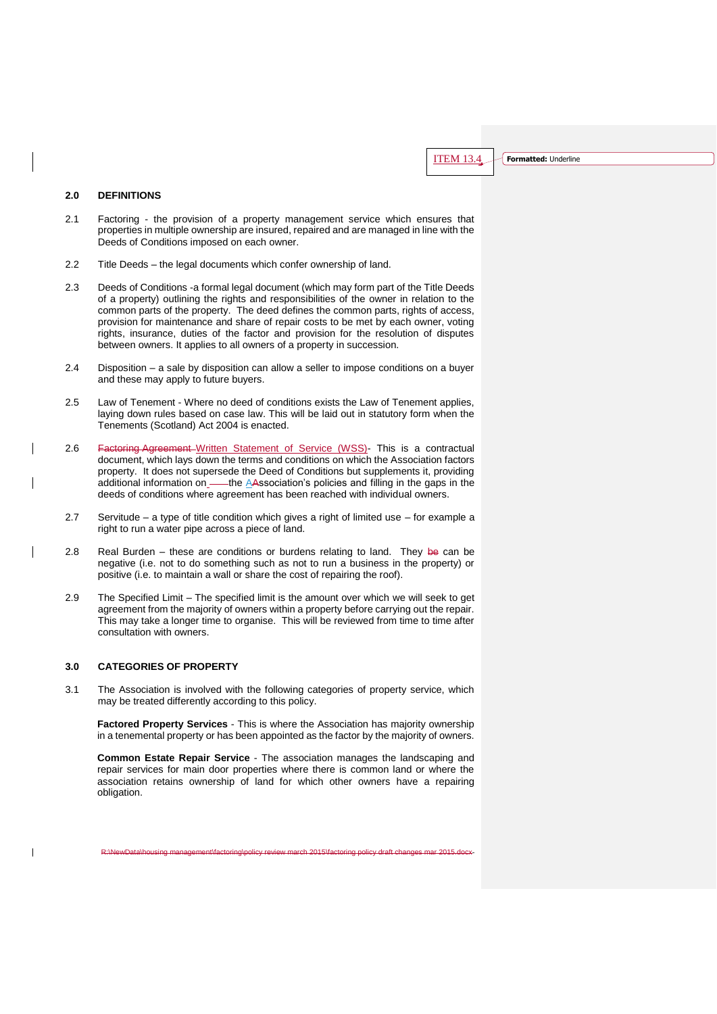### **2.0 DEFINITIONS**

- 2.1 Factoring the provision of a property management service which ensures that properties in multiple ownership are insured, repaired and are managed in line with the Deeds of Conditions imposed on each owner.
- 2.2 Title Deeds the legal documents which confer ownership of land.
- 2.3 Deeds of Conditions -a formal legal document (which may form part of the Title Deeds of a property) outlining the rights and responsibilities of the owner in relation to the common parts of the property. The deed defines the common parts, rights of access, provision for maintenance and share of repair costs to be met by each owner, voting rights, insurance, duties of the factor and provision for the resolution of disputes between owners. It applies to all owners of a property in succession.
- 2.4 Disposition a sale by disposition can allow a seller to impose conditions on a buyer and these may apply to future buyers.
- 2.5 Law of Tenement Where no deed of conditions exists the Law of Tenement applies, laying down rules based on case law. This will be laid out in statutory form when the Tenements (Scotland) Act 2004 is enacted.
- 2.6 Factoring Agreement Written Statement of Service (WSS)- This is a contractual document, which lays down the terms and conditions on which the Association factors property. It does not supersede the Deed of Conditions but supplements it, providing additional information on — the AAssociation's policies and filling in the gaps in the deeds of conditions where agreement has been reached with individual owners.
- 2.7 Servitude a type of title condition which gives a right of limited use for example a right to run a water pipe across a piece of land.
- 2.8 Real Burden these are conditions or burdens relating to land. They be can be negative (i.e. not to do something such as not to run a business in the property) or positive (i.e. to maintain a wall or share the cost of repairing the roof).
- 2.9 The Specified Limit The specified limit is the amount over which we will seek to get agreement from the majority of owners within a property before carrying out the repair. This may take a longer time to organise. This will be reviewed from time to time after consultation with owners.

# **3.0 CATEGORIES OF PROPERTY**

 $\overline{\phantom{a}}$ 

3.1 The Association is involved with the following categories of property service, which may be treated differently according to this policy.

**Factored Property Services** - This is where the Association has majority ownership in a tenemental property or has been appointed as the factor by the majority of owners.

**Common Estate Repair Service** - The association manages the landscaping and repair services for main door properties where there is common land or where the association retains ownership of land for which other owners have a repairing obligation.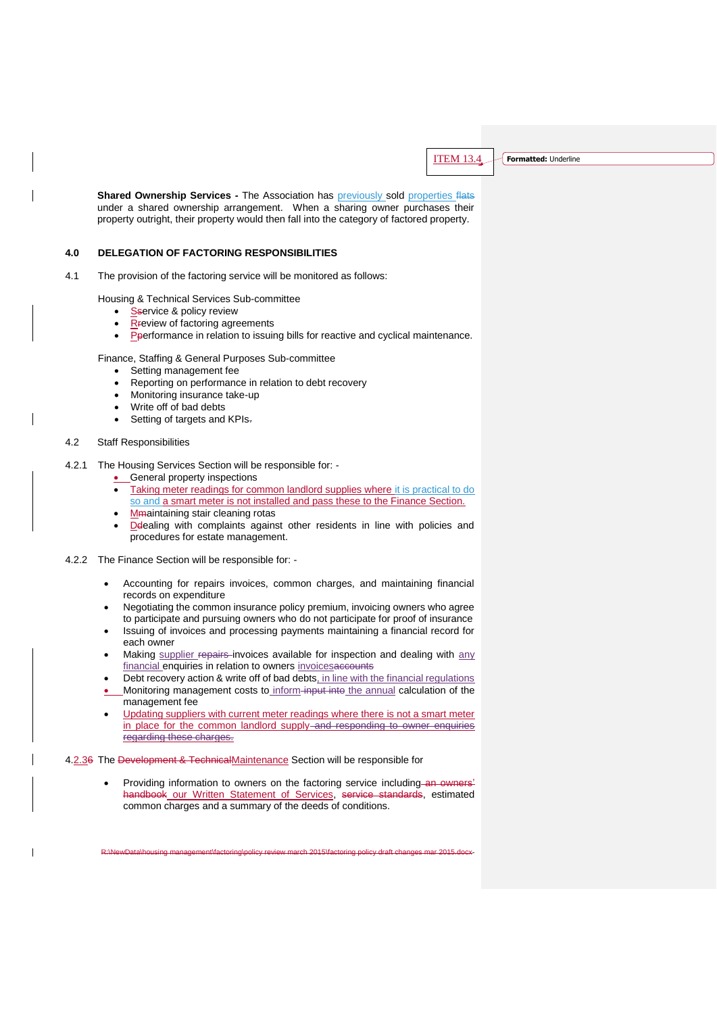**Shared Ownership Services -** The Association has previously sold properties flats under a shared ownership arrangement. When a sharing owner purchases their property outright, their property would then fall into the category of factored property.

#### **4.0 DELEGATION OF FACTORING RESPONSIBILITIES**

4.1 The provision of the factoring service will be monitored as follows:

Housing & Technical Services Sub-committee

- Sservice & policy review
- Rreview of factoring agreements
- $\overline{\text{P}}$  Peerformance in relation to issuing bills for reactive and cyclical maintenance.

Finance, Staffing & General Purposes Sub-committee

- Setting management fee
- Reporting on performance in relation to debt recovery
- Monitoring insurance take-up
- Write off of bad debts
- Setting of targets and KPIs-

# 4.2 Staff Responsibilities

- 4.2.1 The Housing Services Section will be responsible for:
	- **C**eneral property inspections
	- Taking meter readings for common landlord supplies where it is practical to do so and a smart meter is not installed and pass these to the Finance Section.
	- Mmaintaining stair cleaning rotas
	- Ddealing with complaints against other residents in line with policies and procedures for estate management.
- 4.2.2 The Finance Section will be responsible for:
	- Accounting for repairs invoices, common charges, and maintaining financial records on expenditure
	- Negotiating the common insurance policy premium, invoicing owners who agree to participate and pursuing owners who do not participate for proof of insurance
	- Issuing of invoices and processing payments maintaining a financial record for each owner
	- Making supplier repairs invoices available for inspection and dealing with any financial enquiries in relation to owners invoicesaccounts
	- Debt recovery action & write off of bad debts, in line with the financial regulations
	- Monitoring management costs to inform input into the annual calculation of the management fee
	- Updating suppliers with current meter readings where there is not a smart meter in place for the common landlord supply-and responding to owner enquiries regarding these charges.

4.2.36 The Development & TechnicalMaintenance Section will be responsible for

Providing information to owners on the factoring service including an owners' handbook our Written Statement of Services, service standards, estimated common charges and a summary of the deeds of conditions.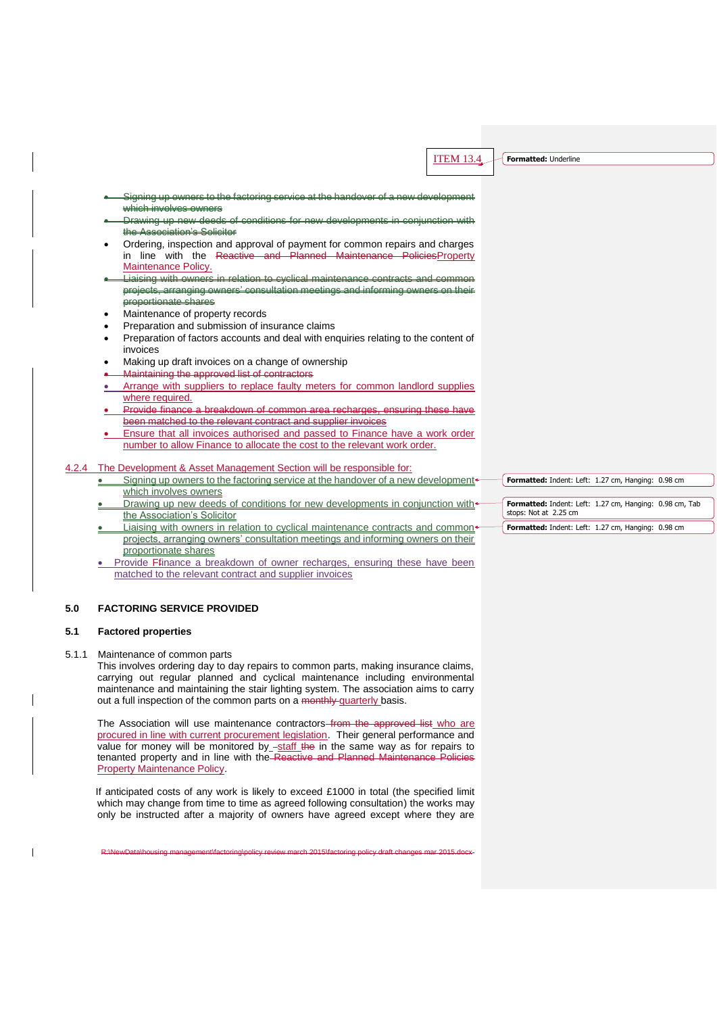which involves owners **-** Drawing up new deeds of conditions for new developments in conjunction with the Association's Solicitor Ordering, inspection and approval of payment for common repairs and charges in line with the Reactive and Planned Maintenance PoliciesProperty Maintenance Policy. Liaising with owners projects, arranging owners' consultation meetings and informing owners on their proportionate shares Maintenance of property records

Signing up owners to the factoring service at the handover of a new development

- Preparation and submission of insurance claims
- Preparation of factors accounts and deal with enquiries relating to the content of invoices
- Making up draft invoices on a change of ownership
- Maintaining the approved list of contractors
- Arrange with suppliers to replace faulty meters for common landlord supplies where required.
- Provide finance a breakdown of common area recharges, ensuring these have been matched to the relevant contract and supplier invoices
- Ensure that all invoices authorised and passed to Finance have a work order number to allow Finance to allocate the cost to the relevant work order.
- 4.2.4 The Development & Asset Management Section will be responsible for:
	- Signing up owners to the factoring service at the handover of a new development which involves owners
	- Drawing up new deeds of conditions for new developments in conjunction with the Association's Solicitor
	- Liaising with owners in relation to cyclical maintenance contracts and commonprojects, arranging owners' consultation meetings and informing owners on their proportionate shares
	- Provide Ffinance a breakdown of owner recharges, ensuring these have been matched to the relevant contract and supplier invoices

# **5.0 FACTORING SERVICE PROVIDED**

#### **5.1 Factored properties**

5.1.1 Maintenance of common parts

This involves ordering day to day repairs to common parts, making insurance claims, carrying out regular planned and cyclical maintenance including environmental maintenance and maintaining the stair lighting system. The association aims to carry out a full inspection of the common parts on a monthly quarterly basis.

The Association will use maintenance contractors from the approved list who are procured in line with current procurement legislation. Their general performance and value for money will be monitored by  $-staff$  the in the same way as for repairs to tenanted property and in line with the Reactive and Planned Maintenance Policies Property Maintenance Policy.

 If anticipated costs of any work is likely to exceed £1000 in total (the specified limit which may change from time to time as agreed following consultation) the works may only be instructed after a majority of owners have agreed except where they are

R:\NewData\housing management\factoring\policy review march 2015\factoring policy draft changes mar 2015.docx-

**Formatted:** Indent: Left: 1.27 cm, Hanging: 0.98 cm **Formatted:** Indent: Left: 1.27 cm, Hanging: 0.98 cm, Tab stops: Not at 2.25 cm

**Formatted:** Indent: Left: 1.27 cm, Hanging: 0.98 cm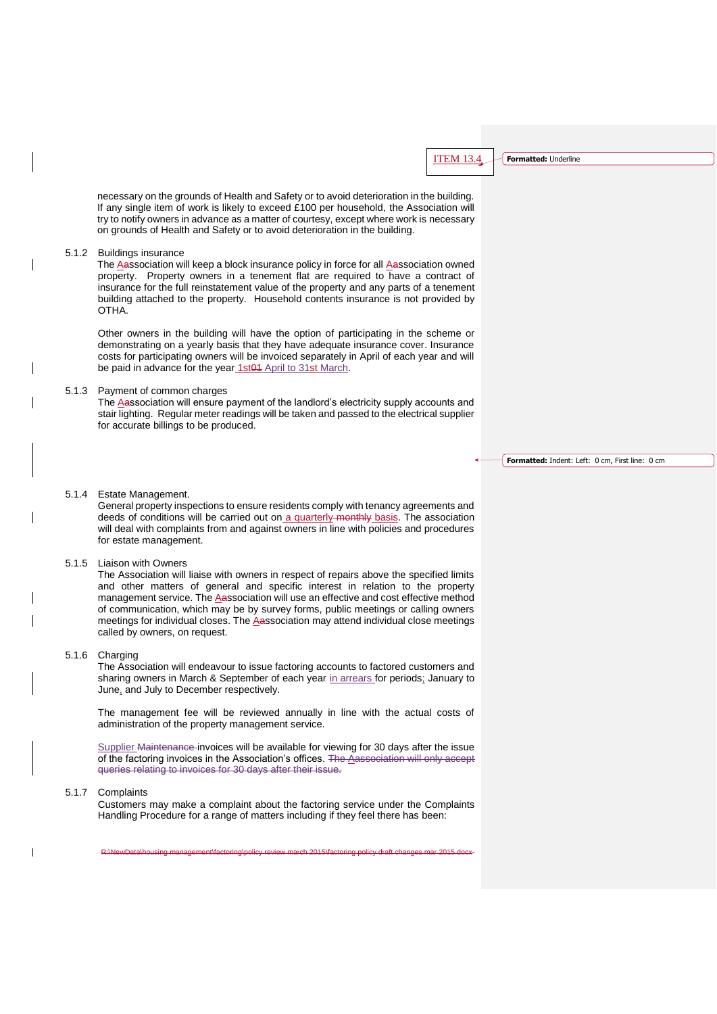necessary on the grounds of Health and Safety or to avoid deterioration in the building. If any single item of work is likely to exceed £100 per household, the Association will try to notify owners in advance as a matter of courtesy, except where work is necessary on grounds of Health and Safety or to avoid deterioration in the building.

#### 5.1.2 Buildings insurance

The Aassociation will keep a block insurance policy in force for all Aassociation owned property. Property owners in a tenement flat are required to have a contract of insurance for the full reinstatement value of the property and any parts of a tenement building attached to the property. Household contents insurance is not provided by OTHA.

Other owners in the building will have the option of participating in the scheme or demonstrating on a yearly basis that they have adequate insurance cover. Insurance costs for participating owners will be invoiced separately in April of each year and will be paid in advance for the year 1st01 April to 31st March.

# 5.1.3 Payment of common charges

The Aassociation will ensure payment of the landlord's electricity supply accounts and stair lighting. Regular meter readings will be taken and passed to the electrical supplier for accurate billings to be produced.

**Formatted:** Indent: Left: 0 cm, First line: 0 cm

# 5.1.4 Estate Management.

General property inspections to ensure residents comply with tenancy agreements and deeds of conditions will be carried out on a quarterly-monthly basis. The association will deal with complaints from and against owners in line with policies and procedures for estate management.

#### 5.1.5 Liaison with Owners

The Association will liaise with owners in respect of repairs above the specified limits and other matters of general and specific interest in relation to the property management service. The Aassociation will use an effective and cost effective method of communication, which may be by survey forms, public meetings or calling owners meetings for individual closes. The Aassociation may attend individual close meetings called by owners, on request.

#### 5.1.6 Charging

The Association will endeavour to issue factoring accounts to factored customers and sharing owners in March & September of each year in arrears for periods; January to June, and July to December respectively.

The management fee will be reviewed annually in line with the actual costs of administration of the property management service.

Supplier Maintenance invoices will be available for viewing for 30 days after the issue of the factoring invoices in the Association's offices. The Aassociation will only accept queries relating to invoices for 30 days after their issue.

#### 5.1.7 Complaints

Customers may make a complaint about the factoring service under the Complaints Handling Procedure for a range of matters including if they feel there has been: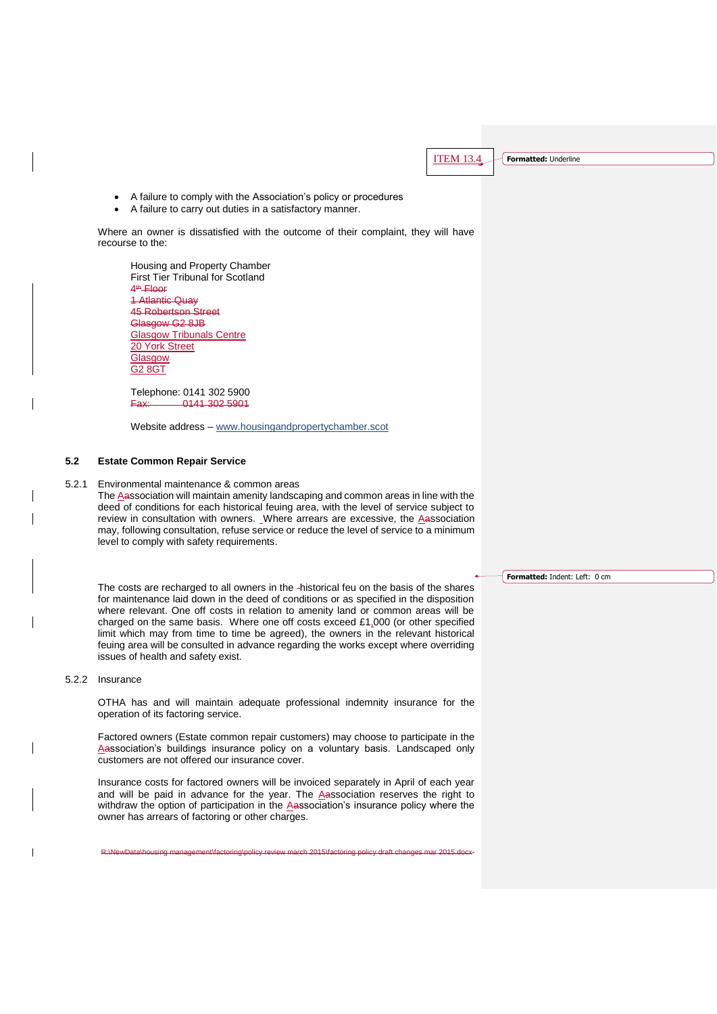A failure to comply with the Association's policy or procedures

A failure to carry out duties in a satisfactory manner.

Where an owner is dissatisfied with the outcome of their complaint, they will have recourse to the:

Housing and Property Chamber First Tier Tribunal for Scotland 4<sup>th</sup> Floor 1 Atlantic Quay 45 Robertson Street Glasgow G2 8JB **Glasgow Tribunals Centre** 20 York Street **Glasgow** G2 8GT

Telephone: 0141 302 5900 Fax: 0141 302 5901

Website address – [www.housingandp](http://www.housingand/)ropertychamber.scot

#### **5.2 Estate Common Repair Service**

5.2.1 Environmental maintenance & common areas

The Aassociation will maintain amenity landscaping and common areas in line with the deed of conditions for each historical feuing area, with the level of service subject to review in consultation with owners. Where arrears are excessive, the  $\triangle$ association may, following consultation, refuse service or reduce the level of service to a minimum level to comply with safety requirements.

The costs are recharged to all owners in the -historical feu on the basis of the shares for maintenance laid down in the deed of conditions or as specified in the disposition where relevant. One off costs in relation to amenity land or common areas will be charged on the same basis. Where one off costs exceed £1,000 (or other specified limit which may from time to time be agreed), the owners in the relevant historical feuing area will be consulted in advance regarding the works except where overriding issues of health and safety exist.

#### 5.2.2 Insurance

OTHA has and will maintain adequate professional indemnity insurance for the operation of its factoring service.

Factored owners (Estate common repair customers) may choose to participate in the Aassociation's buildings insurance policy on a voluntary basis. Landscaped only customers are not offered our insurance cover.

Insurance costs for factored owners will be invoiced separately in April of each year and will be paid in advance for the year. The Aassociation reserves the right to withdraw the option of participation in the Aassociation's insurance policy where the owner has arrears of factoring or other charges.

R:\NewData\housing management\factoring\policy review march 2015\factoring policy draft changes mar 2015.docx-

**Formatted:** Indent: Left: 0 cm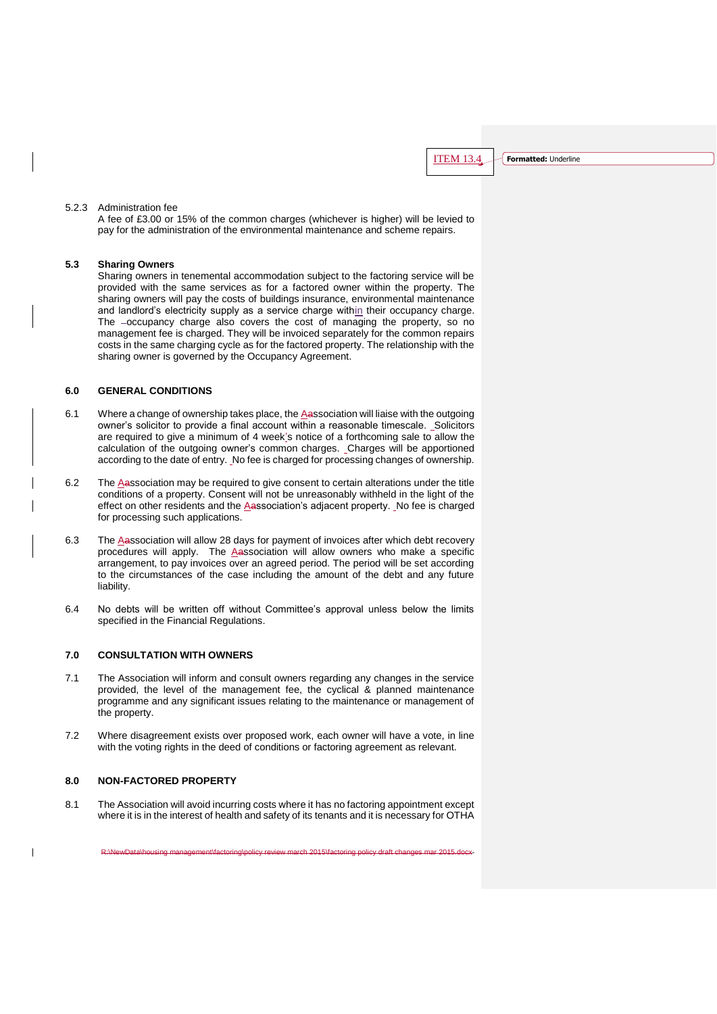# 5.2.3 Administration fee

A fee of £3.00 or 15% of the common charges (whichever is higher) will be levied to pay for the administration of the environmental maintenance and scheme repairs.

# **5.3 Sharing Owners**

Sharing owners in tenemental accommodation subject to the factoring service will be provided with the same services as for a factored owner within the property. The sharing owners will pay the costs of buildings insurance, environmental maintenance and landlord's electricity supply as a service charge within their occupancy charge. The -occupancy charge also covers the cost of managing the property, so no management fee is charged. They will be invoiced separately for the common repairs costs in the same charging cycle as for the factored property. The relationship with the sharing owner is governed by the Occupancy Agreement.

# **6.0 GENERAL CONDITIONS**

- 6.1 Where a change of ownership takes place, the Aassociation will liaise with the outgoing owner's solicitor to provide a final account within a reasonable timescale. Solicitors are required to give a minimum of 4 week's notice of a forthcoming sale to allow the calculation of the outgoing owner's common charges. Charges will be apportioned according to the date of entry. No fee is charged for processing changes of ownership.
- 6.2 The Aassociation may be required to give consent to certain alterations under the title conditions of a property. Consent will not be unreasonably withheld in the light of the effect on other residents and the Aassociation's adjacent property. No fee is charged for processing such applications.
- 6.3 The Aassociation will allow 28 days for payment of invoices after which debt recovery procedures will apply. The Aassociation will allow owners who make a specific arrangement, to pay invoices over an agreed period. The period will be set according to the circumstances of the case including the amount of the debt and any future liability.
- 6.4 No debts will be written off without Committee's approval unless below the limits specified in the Financial Regulations.

### **7.0 CONSULTATION WITH OWNERS**

- 7.1 The Association will inform and consult owners regarding any changes in the service provided, the level of the management fee, the cyclical & planned maintenance programme and any significant issues relating to the maintenance or management of the property.
- 7.2 Where disagreement exists over proposed work, each owner will have a vote, in line with the voting rights in the deed of conditions or factoring agreement as relevant.

#### **8.0 NON-FACTORED PROPERTY**

 $\overline{1}$ 

8.1 The Association will avoid incurring costs where it has no factoring appointment except where it is in the interest of health and safety of its tenants and it is necessary for OTHA